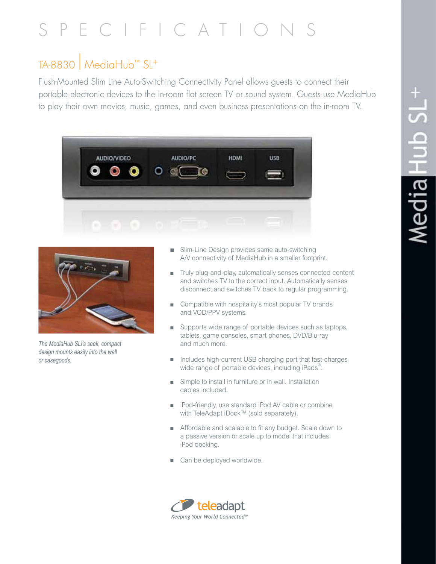# SPECIFICATION

# TA-8830 | MediaHub™ SL+

Flush-Mounted Slim Line Auto-Switching Connectivity Panel allows guests to connect their portable electronic devices to the in-room flat screen TV or sound system. Guests use MediaHub to play their own movies, music, games, and even business presentations on the in-room TV.





*The MediaHub SLi's seek, compact design mounts easily into the wall or casegoods.*

- Slim-Line Design provides same auto-switching A/V connectivity of MediaHub in a smaller footprint.
- Truly plug-and-play, automatically senses connected content and switches TV to the correct input. Automatically senses disconnect and switches TV back to regular programming.
- Compatible with hospitality's most popular TV brands and VOD/PPV systems.
- Supports wide range of portable devices such as laptops, tablets, game consoles, smart phones, DVD/Blu-ray and much more.
- Includes high-current USB charging port that fast-charges wide range of portable devices, including iPads<sup>®</sup>.
- Simple to install in furniture or in wall. Installation cables included.
- iPod-friendly, use standard iPod AV cable or combine with TeleAdapt iDock™ (sold separately).
- **n** Affordable and scalable to fit any budget. Scale down to a passive version or scale up to model that includes iPod docking.
- Can be deployed worldwide.